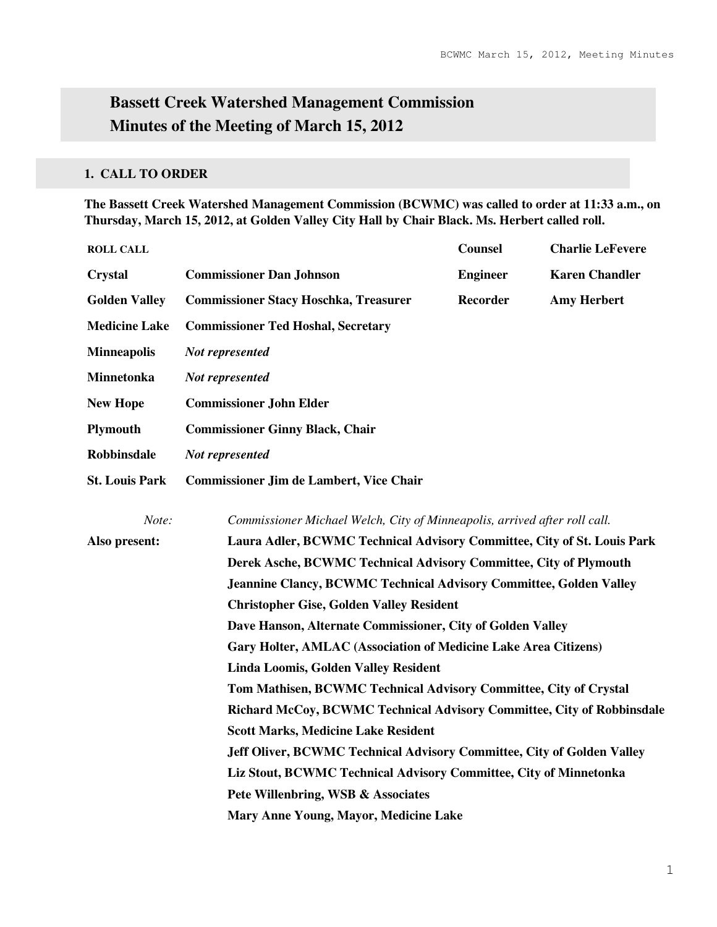# **Bassett Creek Watershed Management Commission Minutes of the Meeting of March 15, 2012**

# **1. CALL TO ORDER**

**The Bassett Creek Watershed Management Commission (BCWMC) was called to order at 11:33 a.m., on Thursday, March 15, 2012, at Golden Valley City Hall by Chair Black. Ms. Herbert called roll.** 

| <b>ROLL CALL</b>      |                                                                           | <b>Counsel</b>  | <b>Charlie LeFevere</b> |  |  |
|-----------------------|---------------------------------------------------------------------------|-----------------|-------------------------|--|--|
| <b>Crystal</b>        | <b>Commissioner Dan Johnson</b>                                           | <b>Engineer</b> | <b>Karen Chandler</b>   |  |  |
| <b>Golden Valley</b>  | <b>Commissioner Stacy Hoschka, Treasurer</b>                              | Recorder        | <b>Amy Herbert</b>      |  |  |
| <b>Medicine Lake</b>  | <b>Commissioner Ted Hoshal, Secretary</b>                                 |                 |                         |  |  |
| <b>Minneapolis</b>    | Not represented                                                           |                 |                         |  |  |
| <b>Minnetonka</b>     | Not represented                                                           |                 |                         |  |  |
| <b>New Hope</b>       | <b>Commissioner John Elder</b>                                            |                 |                         |  |  |
| <b>Plymouth</b>       | <b>Commissioner Ginny Black, Chair</b>                                    |                 |                         |  |  |
| <b>Robbinsdale</b>    | Not represented                                                           |                 |                         |  |  |
| <b>St. Louis Park</b> | <b>Commissioner Jim de Lambert, Vice Chair</b>                            |                 |                         |  |  |
| Note:                 | Commissioner Michael Welch, City of Minneapolis, arrived after roll call. |                 |                         |  |  |
| Also present:         | Laura Adler, BCWMC Technical Advisory Committee, City of St. Louis Park   |                 |                         |  |  |
|                       | Derek Asche, BCWMC Technical Advisory Committee, City of Plymouth         |                 |                         |  |  |
|                       | <b>Jeannine Clancy, BCWMC Technical Advisory Committee, Golden Valley</b> |                 |                         |  |  |
|                       | <b>Christopher Gise, Golden Valley Resident</b>                           |                 |                         |  |  |
|                       | Dave Hanson, Alternate Commissioner, City of Golden Valley                |                 |                         |  |  |
|                       | Gary Holter, AMLAC (Association of Medicine Lake Area Citizens)           |                 |                         |  |  |
|                       | <b>Linda Loomis, Golden Valley Resident</b>                               |                 |                         |  |  |
|                       | Tom Mathisen, BCWMC Technical Advisory Committee, City of Crystal         |                 |                         |  |  |
|                       | Richard McCoy, BCWMC Technical Advisory Committee, City of Robbinsdale    |                 |                         |  |  |
|                       | <b>Scott Marks, Medicine Lake Resident</b>                                |                 |                         |  |  |
|                       | Jeff Oliver, BCWMC Technical Advisory Committee, City of Golden Valley    |                 |                         |  |  |
|                       | Liz Stout, BCWMC Technical Advisory Committee, City of Minnetonka         |                 |                         |  |  |
|                       | Pete Willenbring, WSB & Associates                                        |                 |                         |  |  |
|                       | Mary Anne Young, Mayor, Medicine Lake                                     |                 |                         |  |  |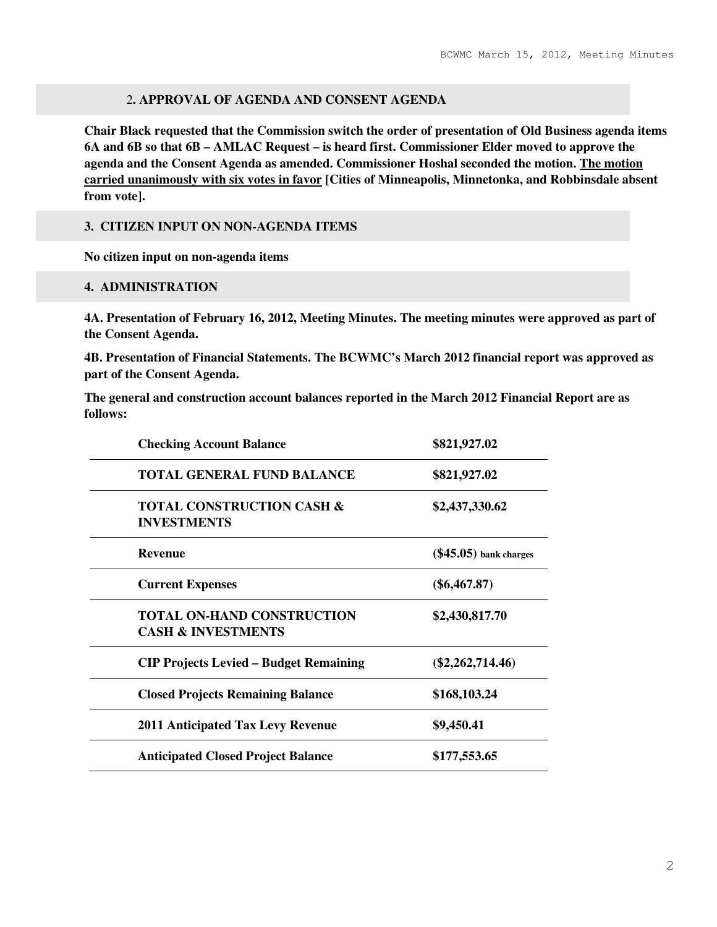### 2**. APPROVAL OF AGENDA AND CONSENT AGENDA**

**Chair Black requested that the Commission switch the order of presentation of Old Business agenda items 6A and 6B so that 6B – AMLAC Request – is heard first. Commissioner Elder moved to approve the agenda and the Consent Agenda as amended. Commissioner Hoshal seconded the motion. The motion carried unanimously with six votes in favor [Cities of Minneapolis, Minnetonka, and Robbinsdale absent from vote].** 

#### **3. CITIZEN INPUT ON NON-AGENDA ITEMS**

**No citizen input on non-agenda items** 

#### **4. ADMINISTRATION**

**4A. Presentation of February 16, 2012, Meeting Minutes. The meeting minutes were approved as part of the Consent Agenda.** 

**4B. Presentation of Financial Statements. The BCWMC's March 2012 financial report was approved as part of the Consent Agenda.** 

**The general and construction account balances reported in the March 2012 Financial Report are as follows:** 

| <b>Checking Account Balance</b>                                    | \$821,927.02             |
|--------------------------------------------------------------------|--------------------------|
| <b>TOTAL GENERAL FUND BALANCE</b>                                  | \$821,927.02             |
| <b>TOTAL CONSTRUCTION CASH &amp;</b><br><b>INVESTMENTS</b>         | \$2,437,330.62           |
| <b>Revenue</b>                                                     | $(\$45.05)$ bank charges |
| <b>Current Expenses</b>                                            | $(\$6,467.87)$           |
| <b>TOTAL ON-HAND CONSTRUCTION</b><br><b>CASH &amp; INVESTMENTS</b> | \$2,430,817.70           |
| <b>CIP Projects Levied – Budget Remaining</b>                      | $(\$2,262,714.46)$       |
| <b>Closed Projects Remaining Balance</b>                           | \$168,103.24             |
| <b>2011 Anticipated Tax Levy Revenue</b>                           | \$9,450.41               |
| <b>Anticipated Closed Project Balance</b>                          | \$177,553.65             |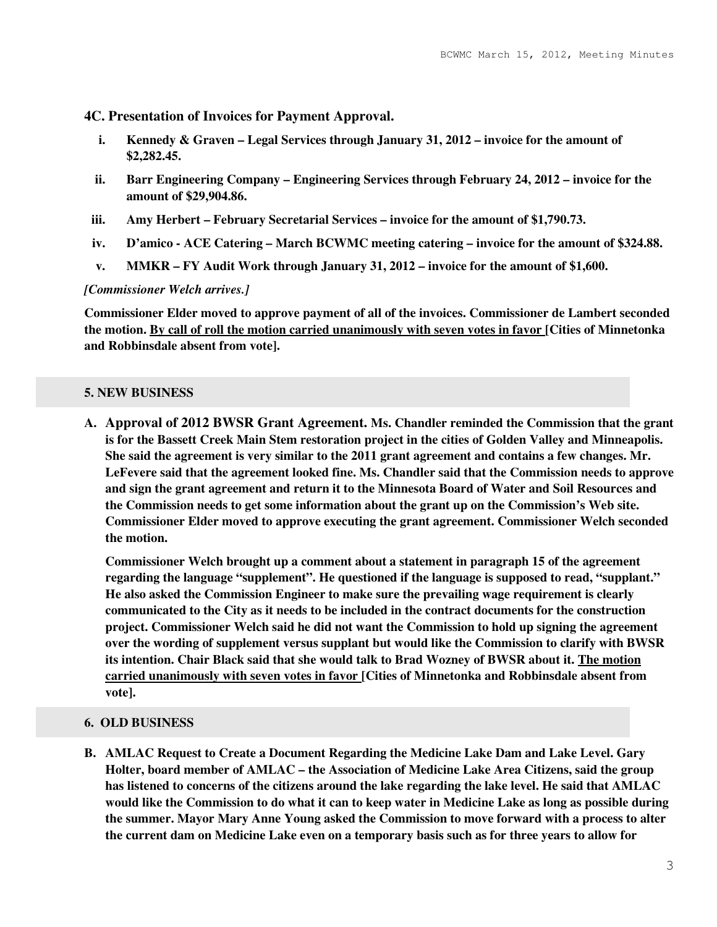**4C. Presentation of Invoices for Payment Approval.** 

- **i. Kennedy & Graven Legal Services through January 31, 2012 invoice for the amount of \$2,282.45.**
- **ii. Barr Engineering Company Engineering Services through February 24, 2012 invoice for the amount of \$29,904.86.**
- **iii. Amy Herbert February Secretarial Services invoice for the amount of \$1,790.73.**
- **iv. D'amico ACE Catering March BCWMC meeting catering invoice for the amount of \$324.88.**
- **v. MMKR FY Audit Work through January 31, 2012 invoice for the amount of \$1,600.**

#### *[Commissioner Welch arrives.]*

**Commissioner Elder moved to approve payment of all of the invoices. Commissioner de Lambert seconded the motion. By call of roll the motion carried unanimously with seven votes in favor [Cities of Minnetonka and Robbinsdale absent from vote].** 

#### **5. NEW BUSINESS**

**A. Approval of 2012 BWSR Grant Agreement. Ms. Chandler reminded the Commission that the grant is for the Bassett Creek Main Stem restoration project in the cities of Golden Valley and Minneapolis. She said the agreement is very similar to the 2011 grant agreement and contains a few changes. Mr. LeFevere said that the agreement looked fine. Ms. Chandler said that the Commission needs to approve and sign the grant agreement and return it to the Minnesota Board of Water and Soil Resources and the Commission needs to get some information about the grant up on the Commission's Web site. Commissioner Elder moved to approve executing the grant agreement. Commissioner Welch seconded the motion.** 

**Commissioner Welch brought up a comment about a statement in paragraph 15 of the agreement regarding the language "supplement". He questioned if the language is supposed to read, "supplant." He also asked the Commission Engineer to make sure the prevailing wage requirement is clearly communicated to the City as it needs to be included in the contract documents for the construction project. Commissioner Welch said he did not want the Commission to hold up signing the agreement over the wording of supplement versus supplant but would like the Commission to clarify with BWSR its intention. Chair Black said that she would talk to Brad Wozney of BWSR about it. The motion carried unanimously with seven votes in favor [Cities of Minnetonka and Robbinsdale absent from vote].** 

#### **6. OLD BUSINESS**

**B. AMLAC Request to Create a Document Regarding the Medicine Lake Dam and Lake Level. Gary Holter, board member of AMLAC – the Association of Medicine Lake Area Citizens, said the group has listened to concerns of the citizens around the lake regarding the lake level. He said that AMLAC would like the Commission to do what it can to keep water in Medicine Lake as long as possible during the summer. Mayor Mary Anne Young asked the Commission to move forward with a process to alter the current dam on Medicine Lake even on a temporary basis such as for three years to allow for**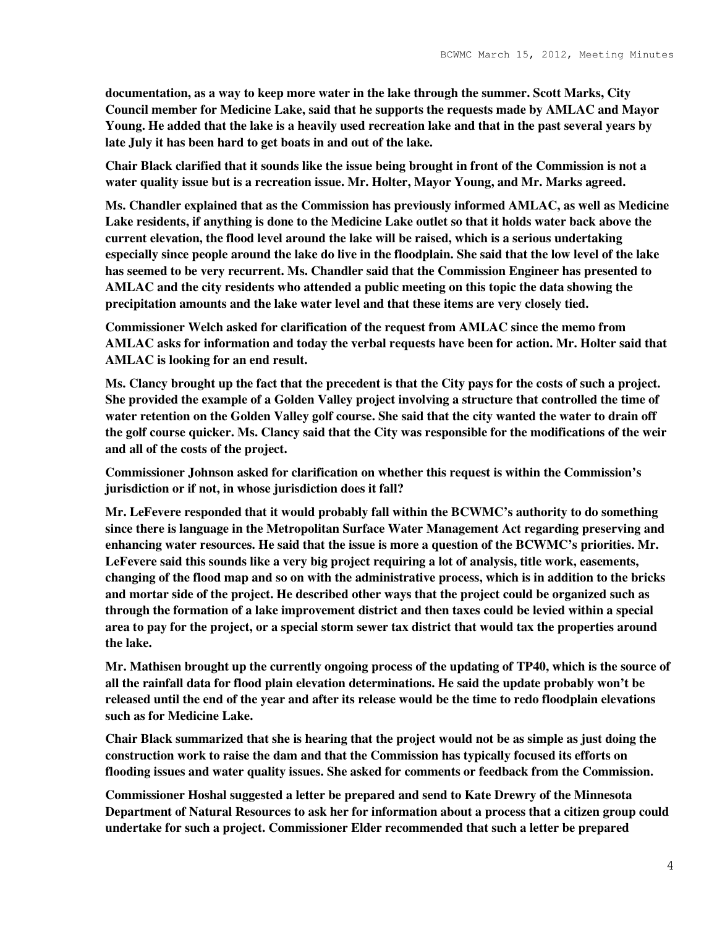**documentation, as a way to keep more water in the lake through the summer. Scott Marks, City Council member for Medicine Lake, said that he supports the requests made by AMLAC and Mayor Young. He added that the lake is a heavily used recreation lake and that in the past several years by late July it has been hard to get boats in and out of the lake.** 

**Chair Black clarified that it sounds like the issue being brought in front of the Commission is not a water quality issue but is a recreation issue. Mr. Holter, Mayor Young, and Mr. Marks agreed.** 

**Ms. Chandler explained that as the Commission has previously informed AMLAC, as well as Medicine Lake residents, if anything is done to the Medicine Lake outlet so that it holds water back above the current elevation, the flood level around the lake will be raised, which is a serious undertaking especially since people around the lake do live in the floodplain. She said that the low level of the lake has seemed to be very recurrent. Ms. Chandler said that the Commission Engineer has presented to AMLAC and the city residents who attended a public meeting on this topic the data showing the precipitation amounts and the lake water level and that these items are very closely tied.** 

**Commissioner Welch asked for clarification of the request from AMLAC since the memo from AMLAC asks for information and today the verbal requests have been for action. Mr. Holter said that AMLAC is looking for an end result.** 

**Ms. Clancy brought up the fact that the precedent is that the City pays for the costs of such a project. She provided the example of a Golden Valley project involving a structure that controlled the time of water retention on the Golden Valley golf course. She said that the city wanted the water to drain off the golf course quicker. Ms. Clancy said that the City was responsible for the modifications of the weir and all of the costs of the project.** 

**Commissioner Johnson asked for clarification on whether this request is within the Commission's jurisdiction or if not, in whose jurisdiction does it fall?** 

**Mr. LeFevere responded that it would probably fall within the BCWMC's authority to do something since there is language in the Metropolitan Surface Water Management Act regarding preserving and enhancing water resources. He said that the issue is more a question of the BCWMC's priorities. Mr. LeFevere said this sounds like a very big project requiring a lot of analysis, title work, easements, changing of the flood map and so on with the administrative process, which is in addition to the bricks and mortar side of the project. He described other ways that the project could be organized such as through the formation of a lake improvement district and then taxes could be levied within a special area to pay for the project, or a special storm sewer tax district that would tax the properties around the lake.** 

**Mr. Mathisen brought up the currently ongoing process of the updating of TP40, which is the source of all the rainfall data for flood plain elevation determinations. He said the update probably won't be released until the end of the year and after its release would be the time to redo floodplain elevations such as for Medicine Lake.** 

**Chair Black summarized that she is hearing that the project would not be as simple as just doing the construction work to raise the dam and that the Commission has typically focused its efforts on flooding issues and water quality issues. She asked for comments or feedback from the Commission.** 

**Commissioner Hoshal suggested a letter be prepared and send to Kate Drewry of the Minnesota Department of Natural Resources to ask her for information about a process that a citizen group could undertake for such a project. Commissioner Elder recommended that such a letter be prepared**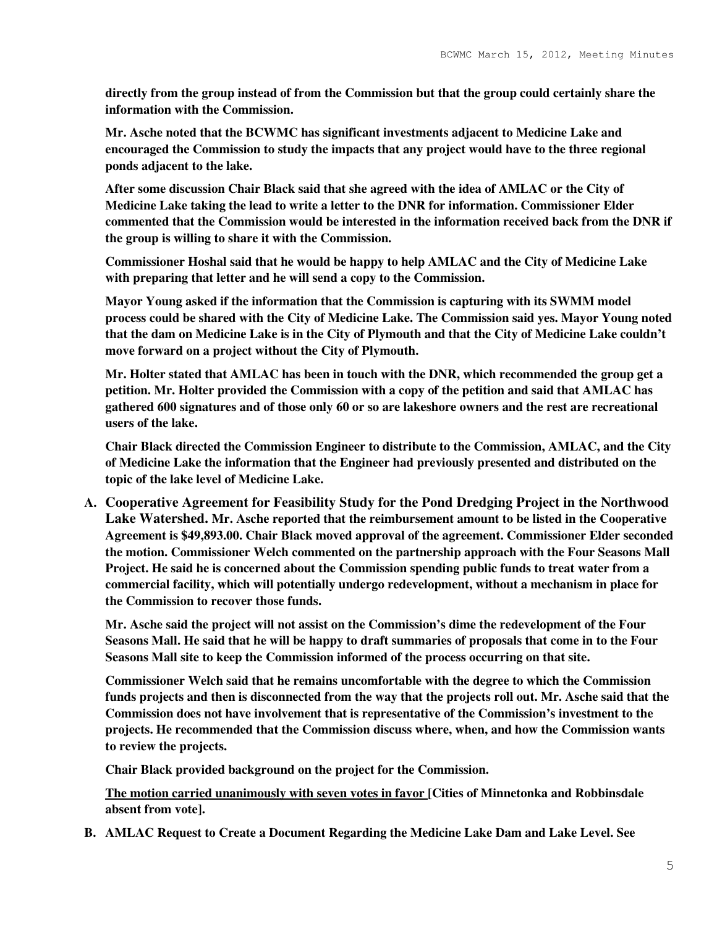**directly from the group instead of from the Commission but that the group could certainly share the information with the Commission.** 

**Mr. Asche noted that the BCWMC has significant investments adjacent to Medicine Lake and encouraged the Commission to study the impacts that any project would have to the three regional ponds adjacent to the lake.** 

**After some discussion Chair Black said that she agreed with the idea of AMLAC or the City of Medicine Lake taking the lead to write a letter to the DNR for information. Commissioner Elder commented that the Commission would be interested in the information received back from the DNR if the group is willing to share it with the Commission.** 

**Commissioner Hoshal said that he would be happy to help AMLAC and the City of Medicine Lake with preparing that letter and he will send a copy to the Commission.** 

**Mayor Young asked if the information that the Commission is capturing with its SWMM model process could be shared with the City of Medicine Lake. The Commission said yes. Mayor Young noted that the dam on Medicine Lake is in the City of Plymouth and that the City of Medicine Lake couldn't move forward on a project without the City of Plymouth.** 

**Mr. Holter stated that AMLAC has been in touch with the DNR, which recommended the group get a petition. Mr. Holter provided the Commission with a copy of the petition and said that AMLAC has gathered 600 signatures and of those only 60 or so are lakeshore owners and the rest are recreational users of the lake.** 

**Chair Black directed the Commission Engineer to distribute to the Commission, AMLAC, and the City of Medicine Lake the information that the Engineer had previously presented and distributed on the topic of the lake level of Medicine Lake.** 

**A. Cooperative Agreement for Feasibility Study for the Pond Dredging Project in the Northwood Lake Watershed. Mr. Asche reported that the reimbursement amount to be listed in the Cooperative Agreement is \$49,893.00. Chair Black moved approval of the agreement. Commissioner Elder seconded the motion. Commissioner Welch commented on the partnership approach with the Four Seasons Mall Project. He said he is concerned about the Commission spending public funds to treat water from a commercial facility, which will potentially undergo redevelopment, without a mechanism in place for the Commission to recover those funds.** 

**Mr. Asche said the project will not assist on the Commission's dime the redevelopment of the Four Seasons Mall. He said that he will be happy to draft summaries of proposals that come in to the Four Seasons Mall site to keep the Commission informed of the process occurring on that site.** 

**Commissioner Welch said that he remains uncomfortable with the degree to which the Commission funds projects and then is disconnected from the way that the projects roll out. Mr. Asche said that the Commission does not have involvement that is representative of the Commission's investment to the projects. He recommended that the Commission discuss where, when, and how the Commission wants to review the projects.** 

**Chair Black provided background on the project for the Commission.** 

**The motion carried unanimously with seven votes in favor [Cities of Minnetonka and Robbinsdale absent from vote].** 

**B. AMLAC Request to Create a Document Regarding the Medicine Lake Dam and Lake Level. See**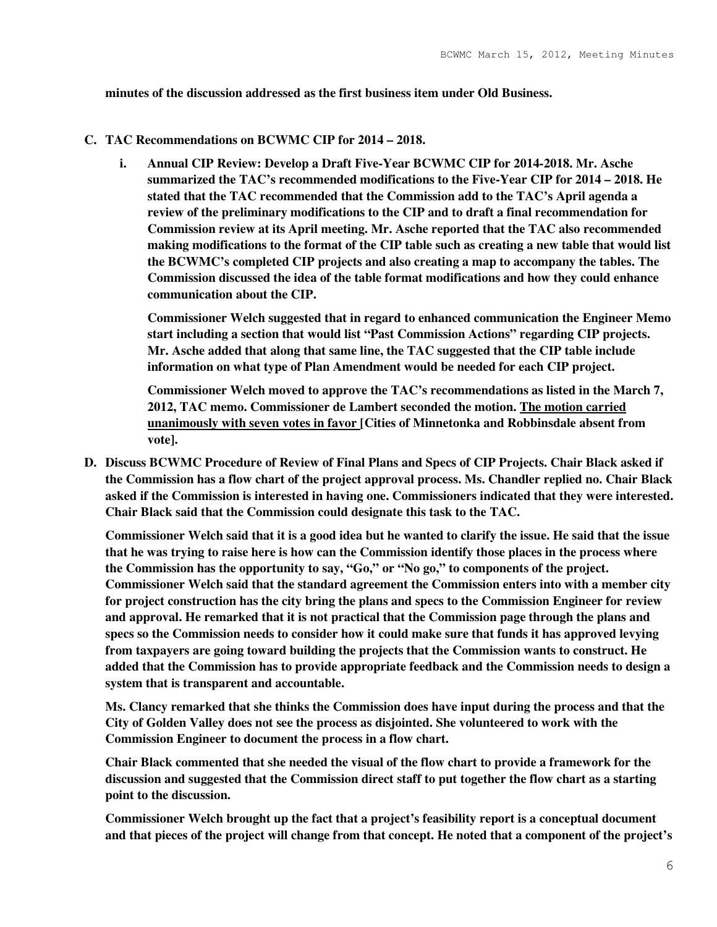**minutes of the discussion addressed as the first business item under Old Business.** 

#### **C. TAC Recommendations on BCWMC CIP for 2014 – 2018.**

**i. Annual CIP Review: Develop a Draft Five-Year BCWMC CIP for 2014-2018. Mr. Asche summarized the TAC's recommended modifications to the Five-Year CIP for 2014 – 2018. He stated that the TAC recommended that the Commission add to the TAC's April agenda a review of the preliminary modifications to the CIP and to draft a final recommendation for Commission review at its April meeting. Mr. Asche reported that the TAC also recommended making modifications to the format of the CIP table such as creating a new table that would list the BCWMC's completed CIP projects and also creating a map to accompany the tables. The Commission discussed the idea of the table format modifications and how they could enhance communication about the CIP.** 

**Commissioner Welch suggested that in regard to enhanced communication the Engineer Memo start including a section that would list "Past Commission Actions" regarding CIP projects. Mr. Asche added that along that same line, the TAC suggested that the CIP table include information on what type of Plan Amendment would be needed for each CIP project.** 

**Commissioner Welch moved to approve the TAC's recommendations as listed in the March 7, 2012, TAC memo. Commissioner de Lambert seconded the motion. The motion carried unanimously with seven votes in favor [Cities of Minnetonka and Robbinsdale absent from vote].** 

**D. Discuss BCWMC Procedure of Review of Final Plans and Specs of CIP Projects. Chair Black asked if the Commission has a flow chart of the project approval process. Ms. Chandler replied no. Chair Black asked if the Commission is interested in having one. Commissioners indicated that they were interested. Chair Black said that the Commission could designate this task to the TAC.** 

**Commissioner Welch said that it is a good idea but he wanted to clarify the issue. He said that the issue that he was trying to raise here is how can the Commission identify those places in the process where the Commission has the opportunity to say, "Go," or "No go," to components of the project. Commissioner Welch said that the standard agreement the Commission enters into with a member city for project construction has the city bring the plans and specs to the Commission Engineer for review and approval. He remarked that it is not practical that the Commission page through the plans and specs so the Commission needs to consider how it could make sure that funds it has approved levying from taxpayers are going toward building the projects that the Commission wants to construct. He added that the Commission has to provide appropriate feedback and the Commission needs to design a system that is transparent and accountable.** 

**Ms. Clancy remarked that she thinks the Commission does have input during the process and that the City of Golden Valley does not see the process as disjointed. She volunteered to work with the Commission Engineer to document the process in a flow chart.** 

**Chair Black commented that she needed the visual of the flow chart to provide a framework for the discussion and suggested that the Commission direct staff to put together the flow chart as a starting point to the discussion.** 

**Commissioner Welch brought up the fact that a project's feasibility report is a conceptual document and that pieces of the project will change from that concept. He noted that a component of the project's**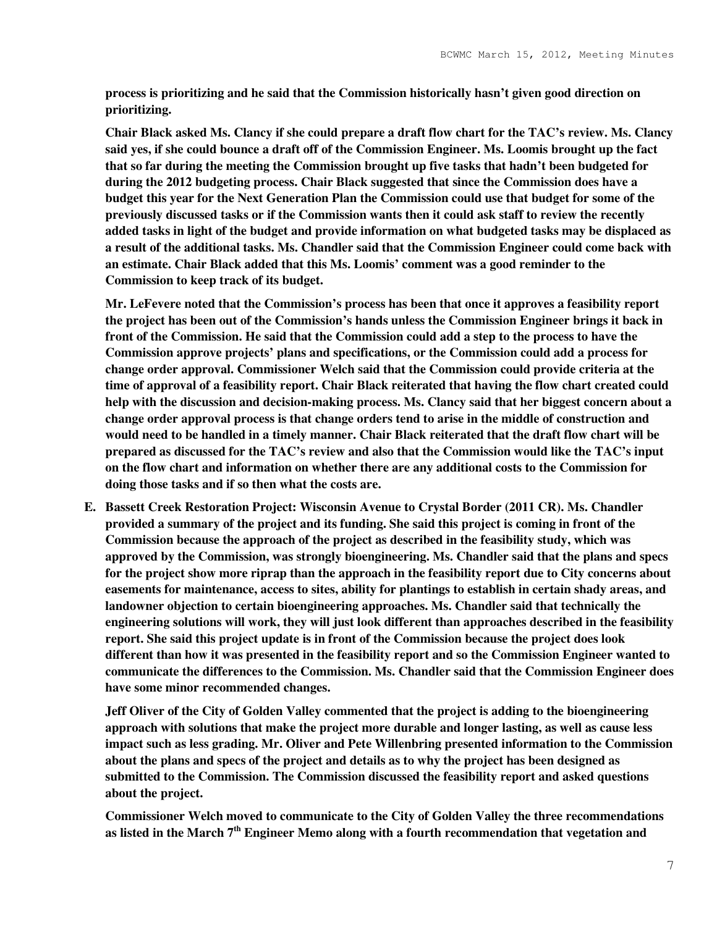**process is prioritizing and he said that the Commission historically hasn't given good direction on prioritizing.** 

**Chair Black asked Ms. Clancy if she could prepare a draft flow chart for the TAC's review. Ms. Clancy said yes, if she could bounce a draft off of the Commission Engineer. Ms. Loomis brought up the fact that so far during the meeting the Commission brought up five tasks that hadn't been budgeted for during the 2012 budgeting process. Chair Black suggested that since the Commission does have a budget this year for the Next Generation Plan the Commission could use that budget for some of the previously discussed tasks or if the Commission wants then it could ask staff to review the recently added tasks in light of the budget and provide information on what budgeted tasks may be displaced as a result of the additional tasks. Ms. Chandler said that the Commission Engineer could come back with an estimate. Chair Black added that this Ms. Loomis' comment was a good reminder to the Commission to keep track of its budget.** 

**Mr. LeFevere noted that the Commission's process has been that once it approves a feasibility report the project has been out of the Commission's hands unless the Commission Engineer brings it back in front of the Commission. He said that the Commission could add a step to the process to have the Commission approve projects' plans and specifications, or the Commission could add a process for change order approval. Commissioner Welch said that the Commission could provide criteria at the time of approval of a feasibility report. Chair Black reiterated that having the flow chart created could help with the discussion and decision-making process. Ms. Clancy said that her biggest concern about a change order approval process is that change orders tend to arise in the middle of construction and would need to be handled in a timely manner. Chair Black reiterated that the draft flow chart will be prepared as discussed for the TAC's review and also that the Commission would like the TAC's input on the flow chart and information on whether there are any additional costs to the Commission for doing those tasks and if so then what the costs are.** 

**E. Bassett Creek Restoration Project: Wisconsin Avenue to Crystal Border (2011 CR). Ms. Chandler provided a summary of the project and its funding. She said this project is coming in front of the Commission because the approach of the project as described in the feasibility study, which was approved by the Commission, was strongly bioengineering. Ms. Chandler said that the plans and specs for the project show more riprap than the approach in the feasibility report due to City concerns about easements for maintenance, access to sites, ability for plantings to establish in certain shady areas, and landowner objection to certain bioengineering approaches. Ms. Chandler said that technically the engineering solutions will work, they will just look different than approaches described in the feasibility report. She said this project update is in front of the Commission because the project does look different than how it was presented in the feasibility report and so the Commission Engineer wanted to communicate the differences to the Commission. Ms. Chandler said that the Commission Engineer does have some minor recommended changes.** 

**Jeff Oliver of the City of Golden Valley commented that the project is adding to the bioengineering approach with solutions that make the project more durable and longer lasting, as well as cause less impact such as less grading. Mr. Oliver and Pete Willenbring presented information to the Commission about the plans and specs of the project and details as to why the project has been designed as submitted to the Commission. The Commission discussed the feasibility report and asked questions about the project.** 

**Commissioner Welch moved to communicate to the City of Golden Valley the three recommendations as listed in the March 7th Engineer Memo along with a fourth recommendation that vegetation and**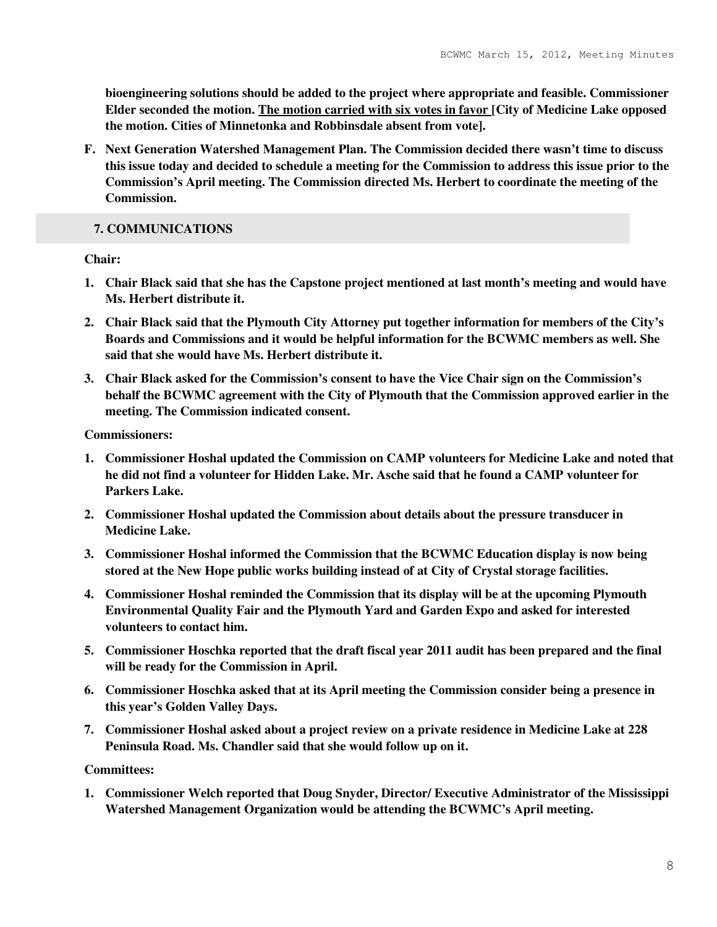**bioengineering solutions should be added to the project where appropriate and feasible. Commissioner Elder seconded the motion. The motion carried with six votes in favor [City of Medicine Lake opposed the motion. Cities of Minnetonka and Robbinsdale absent from vote].** 

**F. Next Generation Watershed Management Plan. The Commission decided there wasn't time to discuss this issue today and decided to schedule a meeting for the Commission to address this issue prior to the Commission's April meeting. The Commission directed Ms. Herbert to coordinate the meeting of the Commission.** 

## **7. COMMUNICATIONS**

**Chair:** 

- **1. Chair Black said that she has the Capstone project mentioned at last month's meeting and would have Ms. Herbert distribute it.**
- **2. Chair Black said that the Plymouth City Attorney put together information for members of the City's Boards and Commissions and it would be helpful information for the BCWMC members as well. She said that she would have Ms. Herbert distribute it.**
- **3. Chair Black asked for the Commission's consent to have the Vice Chair sign on the Commission's behalf the BCWMC agreement with the City of Plymouth that the Commission approved earlier in the meeting. The Commission indicated consent.**

**Commissioners:** 

- **1. Commissioner Hoshal updated the Commission on CAMP volunteers for Medicine Lake and noted that he did not find a volunteer for Hidden Lake. Mr. Asche said that he found a CAMP volunteer for Parkers Lake.**
- **2. Commissioner Hoshal updated the Commission about details about the pressure transducer in Medicine Lake.**
- **3. Commissioner Hoshal informed the Commission that the BCWMC Education display is now being stored at the New Hope public works building instead of at City of Crystal storage facilities.**
- **4. Commissioner Hoshal reminded the Commission that its display will be at the upcoming Plymouth Environmental Quality Fair and the Plymouth Yard and Garden Expo and asked for interested volunteers to contact him.**
- **5. Commissioner Hoschka reported that the draft fiscal year 2011 audit has been prepared and the final will be ready for the Commission in April.**
- **6. Commissioner Hoschka asked that at its April meeting the Commission consider being a presence in this year's Golden Valley Days.**
- **7. Commissioner Hoshal asked about a project review on a private residence in Medicine Lake at 228 Peninsula Road. Ms. Chandler said that she would follow up on it.**

**Committees:** 

**1. Commissioner Welch reported that Doug Snyder, Director/ Executive Administrator of the Mississippi Watershed Management Organization would be attending the BCWMC's April meeting.**